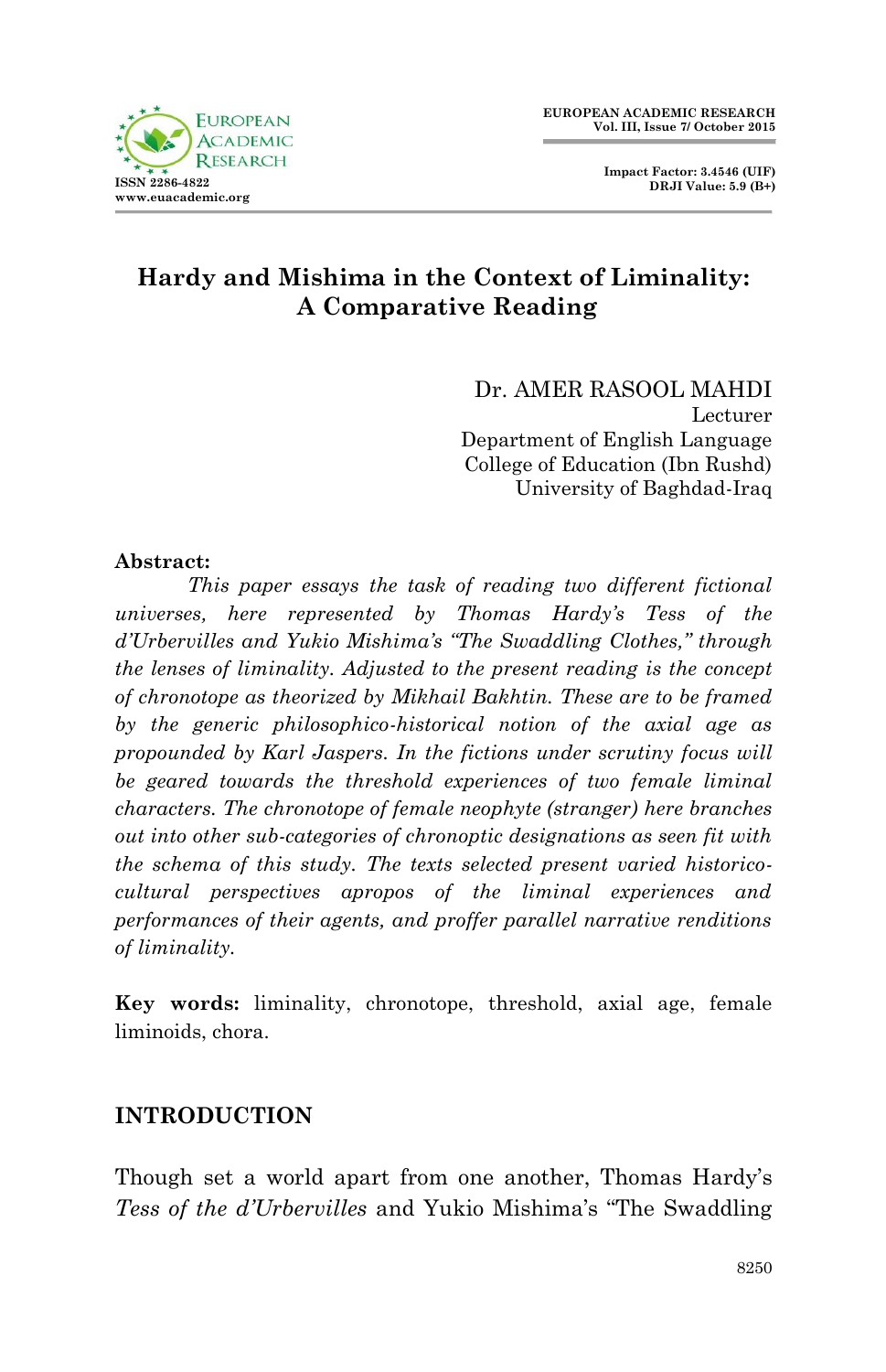

# **Hardy and Mishima in the Context of Liminality: A Comparative Reading**

Dr. AMER RASOOL MAHDI Lecturer Department of English Language College of Education (Ibn Rushd) University of Baghdad-Iraq

### **Abstract:**

*This paper essays the task of reading two different fictional universes, here represented by Thomas Hardy's Tess of the d'Urbervilles and Yukio Mishima's "The Swaddling Clothes," through the lenses of liminality. Adjusted to the present reading is the concept of chronotope as theorized by Mikhail Bakhtin. These are to be framed by the generic philosophico-historical notion of the axial age as propounded by Karl Jaspers. In the fictions under scrutiny focus will be geared towards the threshold experiences of two female liminal characters. The chronotope of female neophyte (stranger) here branches out into other sub-categories of chronoptic designations as seen fit with the schema of this study. The texts selected present varied historicocultural perspectives apropos of the liminal experiences and performances of their agents, and proffer parallel narrative renditions of liminality.*

**Key words:** liminality, chronotope, threshold, axial age, female liminoids, chora.

### **INTRODUCTION**

Though set a world apart from one another, Thomas Hardy's *Tess of the d'Urbervilles* and Yukio Mishima's "The Swaddling"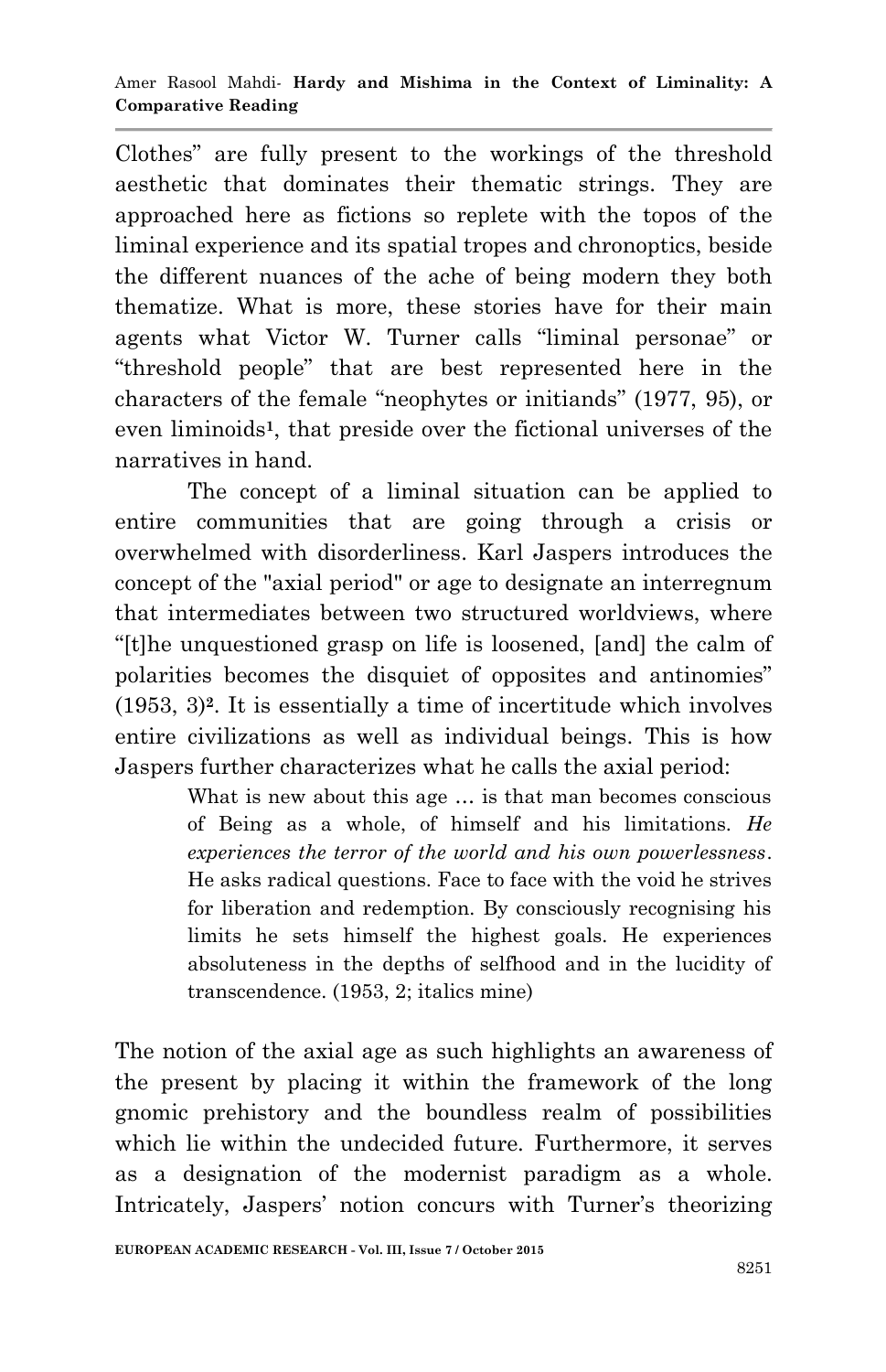Clothes" are fully present to the workings of the threshold aesthetic that dominates their thematic strings. They are approached here as fictions so replete with the topos of the liminal experience and its spatial tropes and chronoptics, beside the different nuances of the ache of being modern they both thematize. What is more, these stories have for their main agents what Victor W. Turner calls "liminal personae" or ―threshold people‖ that are best represented here in the characters of the female "neophytes or initiands" (1977, 95), or even liminoids<sup>1</sup>, that preside over the fictional universes of the narratives in hand.

The concept of a liminal situation can be applied to entire communities that are going through a crisis or overwhelmed with disorderliness. Karl Jaspers introduces the concept of the "axial period" or age to designate an interregnum that intermediates between two structured worldviews, where ―[t]he unquestioned grasp on life is loosened, [and] the calm of polarities becomes the disquiet of opposites and antinomies" (1953, 3)**<sup>2</sup>** . It is essentially a time of incertitude which involves entire civilizations as well as individual beings. This is how Jaspers further characterizes what he calls the axial period:

> What is new about this age … is that man becomes conscious of Being as a whole, of himself and his limitations. *He experiences the terror of the world and his own powerlessness*. He asks radical questions. Face to face with the void he strives for liberation and redemption. By consciously recognising his limits he sets himself the highest goals. He experiences absoluteness in the depths of selfhood and in the lucidity of transcendence. (1953, 2; italics mine)

The notion of the axial age as such highlights an awareness of the present by placing it within the framework of the long gnomic prehistory and the boundless realm of possibilities which lie within the undecided future. Furthermore, it serves as a designation of the modernist paradigm as a whole. Intricately, Jaspers' notion concurs with Turner's theorizing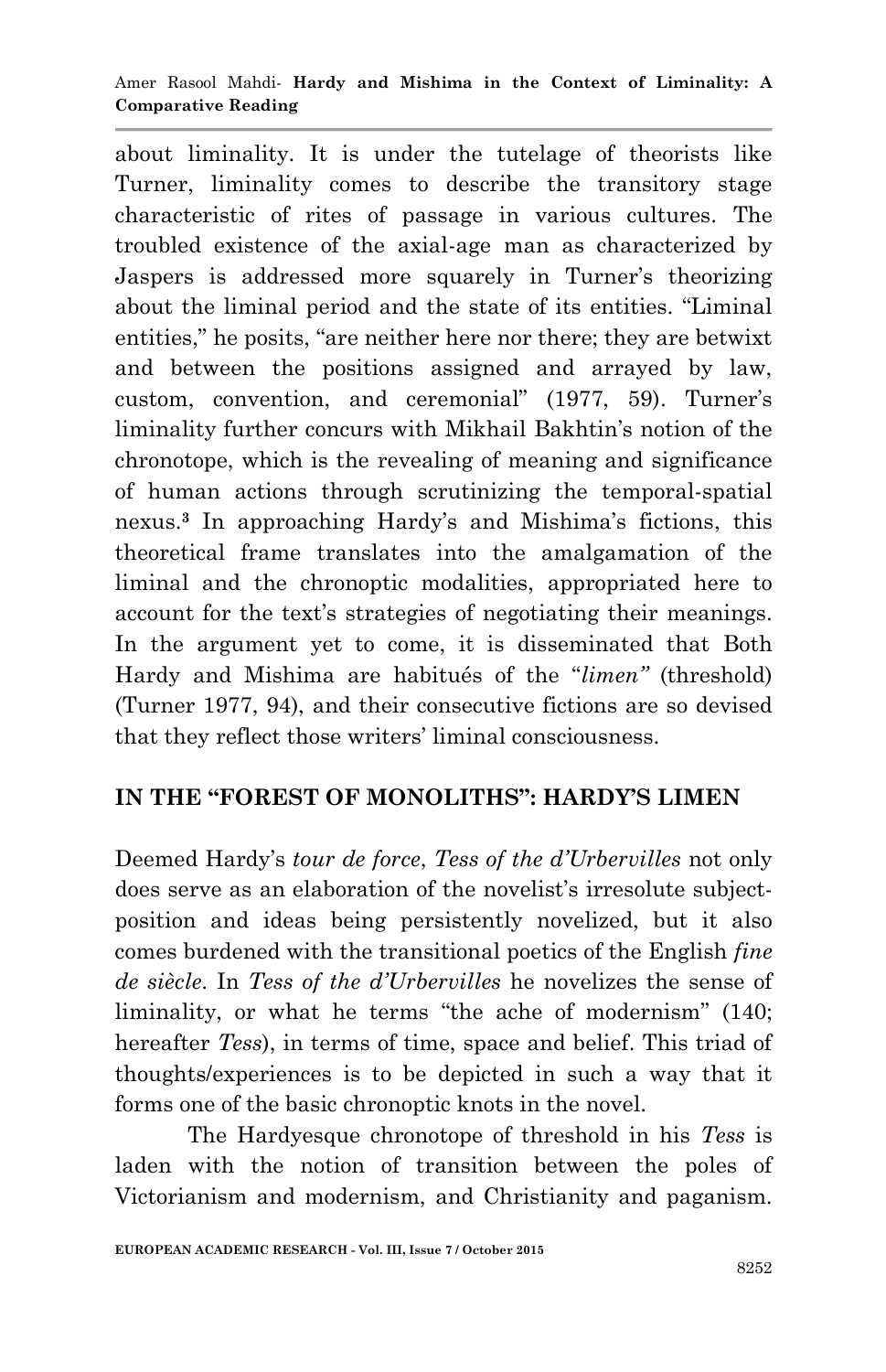#### Amer Rasool Mahdi*-* **Hardy and Mishima in the Context of Liminality: A Comparative Reading**

about liminality. It is under the tutelage of theorists like Turner, liminality comes to describe the transitory stage characteristic of rites of passage in various cultures. The troubled existence of the axial-age man as characterized by Jaspers is addressed more squarely in Turner's theorizing about the liminal period and the state of its entities. "Liminal entities," he posits, "are neither here nor there; they are betwixt and between the positions assigned and arrayed by law, custom, convention, and ceremonial" (1977, 59). Turner's liminality further concurs with Mikhail Bakhtin's notion of the chronotope, which is the revealing of meaning and significance of human actions through scrutinizing the temporal-spatial nexus.**<sup>3</sup>** In approaching Hardy's and Mishima's fictions, this theoretical frame translates into the amalgamation of the liminal and the chronoptic modalities, appropriated here to account for the text's strategies of negotiating their meanings. In the argument yet to come, it is disseminated that Both Hardy and Mishima are habitués of the "*limen*" (threshold) (Turner 1977, 94), and their consecutive fictions are so devised that they reflect those writers' liminal consciousness.

# **IN THE "FOREST OF MONOLITHS": HARDY'S LIMEN**

Deemed Hardy's *tour de force*, *Tess of the d'Urbervilles* not only does serve as an elaboration of the novelist's irresolute subjectposition and ideas being persistently novelized, but it also comes burdened with the transitional poetics of the English *fine de siècle*. In *Tess of the d'Urbervilles* he novelizes the sense of liminality, or what he terms "the ache of modernism" (140; hereafter *Tess*), in terms of time, space and belief. This triad of thoughts/experiences is to be depicted in such a way that it forms one of the basic chronoptic knots in the novel.

The Hardyesque chronotope of threshold in his *Tess* is laden with the notion of transition between the poles of Victorianism and modernism, and Christianity and paganism.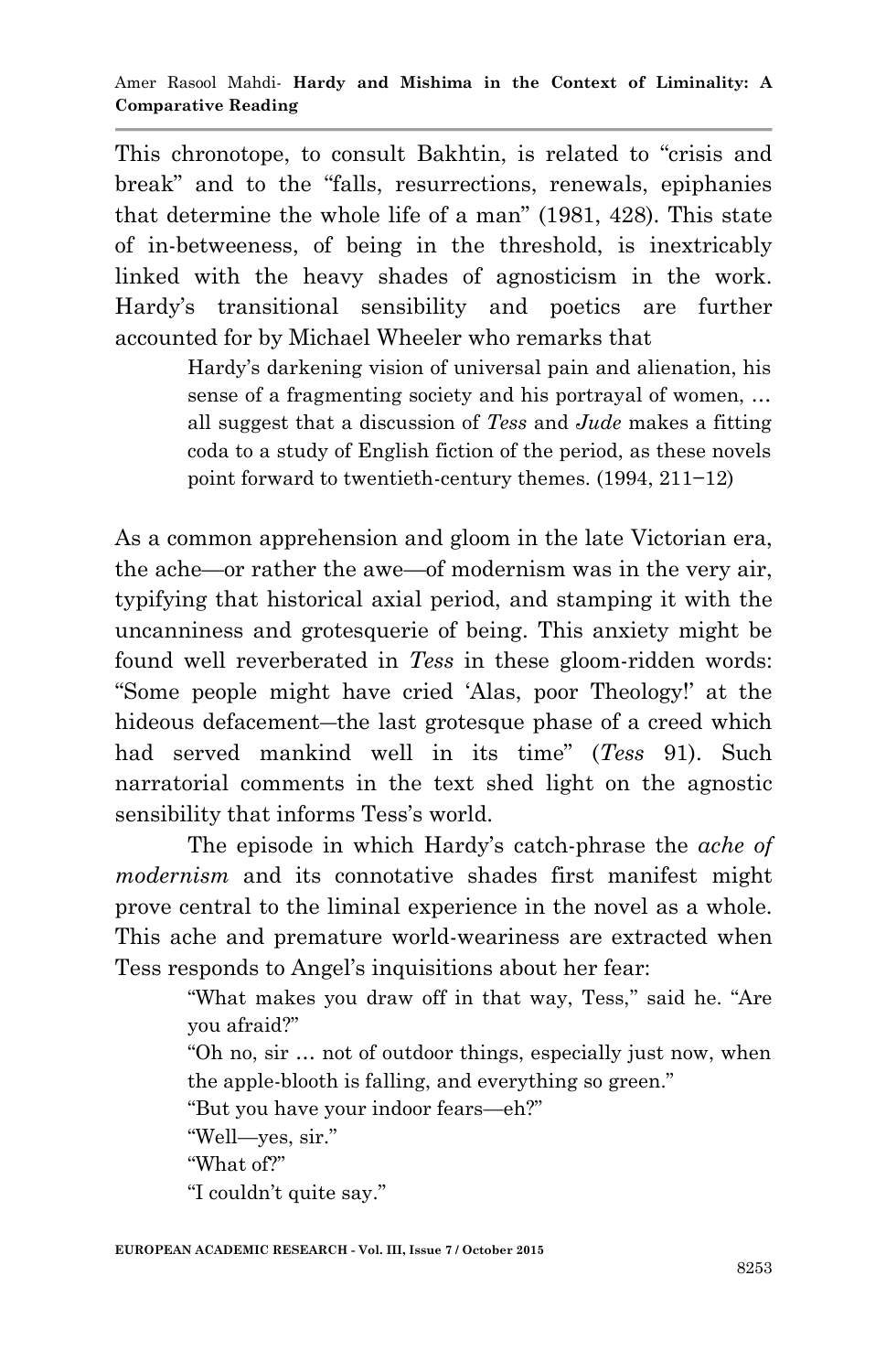This chronotope, to consult Bakhtin, is related to "crisis and break" and to the "falls, resurrections, renewals, epiphanies that determine the whole life of a man" (1981, 428). This state of in-betweeness, of being in the threshold, is inextricably linked with the heavy shades of agnosticism in the work. Hardy's transitional sensibility and poetics are further accounted for by Michael Wheeler who remarks that

> Hardy's darkening vision of universal pain and alienation, his sense of a fragmenting society and his portrayal of women, … all suggest that a discussion of *Tess* and *Jude* makes a fitting coda to a study of English fiction of the period, as these novels point forward to twentieth-century themes. (1994, 211−12)

As a common apprehension and gloom in the late Victorian era, the ache—or rather the awe—of modernism was in the very air, typifying that historical axial period, and stamping it with the uncanniness and grotesquerie of being. This anxiety might be found well reverberated in *Tess* in these gloom-ridden words: ―Some people might have cried ‗Alas, poor Theology!' at the hideous defacement—the last grotesque phase of a creed which had served mankind well in its time" (*Tess* 91). Such narratorial comments in the text shed light on the agnostic sensibility that informs Tess's world.

The episode in which Hardy's catch-phrase the *ache of modernism* and its connotative shades first manifest might prove central to the liminal experience in the novel as a whole. This ache and premature world-weariness are extracted when Tess responds to Angel's inquisitions about her fear:

> "What makes you draw off in that way, Tess," said he. "Are you afraid?"

> ―Oh no, sir … not of outdoor things, especially just now, when the apple-blooth is falling, and everything so green."

"But you have your indoor fears—eh?"

"Well—yes, sir."

"What of?"

"I couldn't quite say."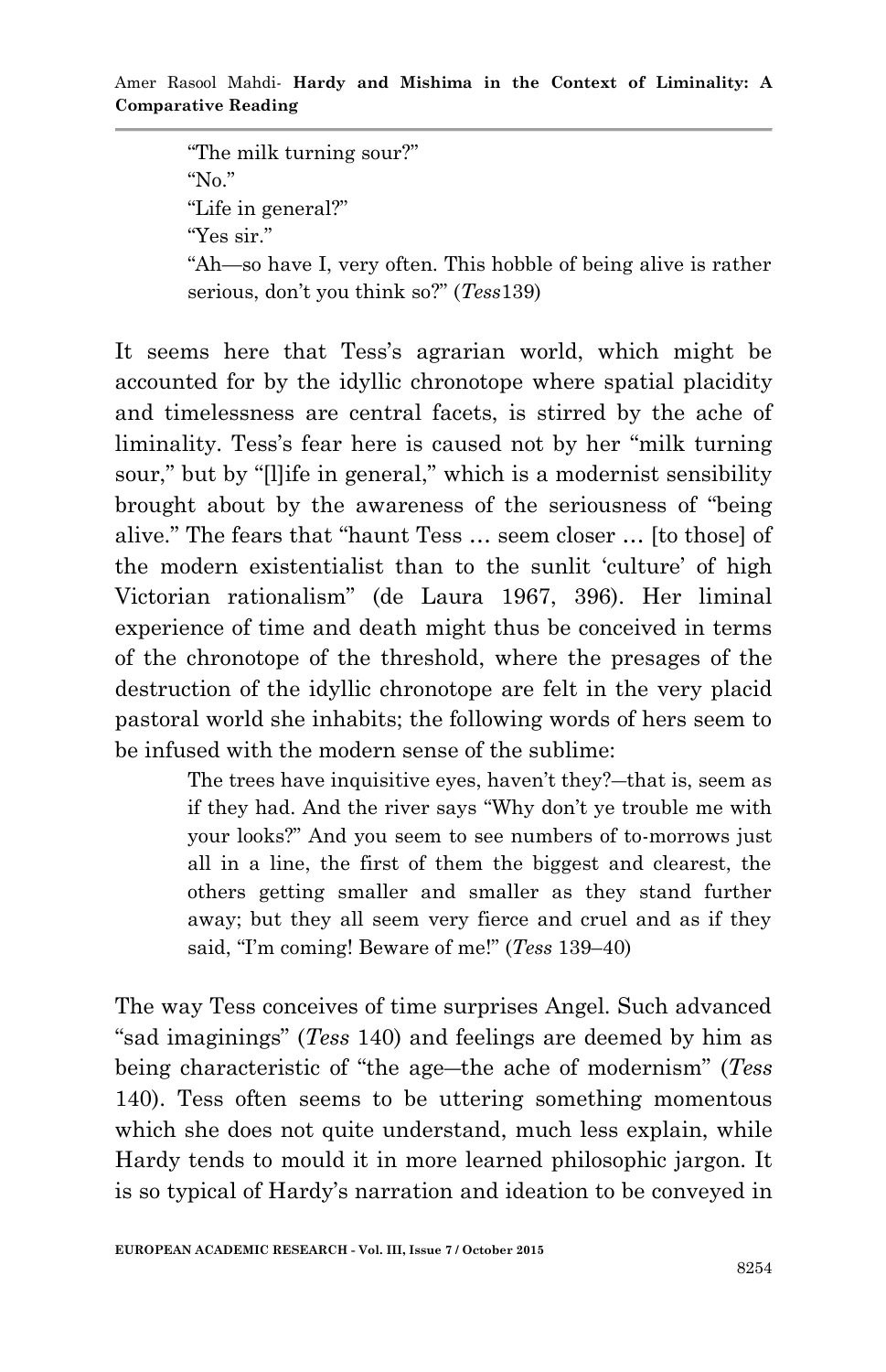"The milk turning sour?" " $No."$ "Life in general?" "Yes sir." ―Ah—so have I, very often. This hobble of being alive is rather serious, don't you think so?" (*Tess*139)

It seems here that Tess's agrarian world, which might be accounted for by the idyllic chronotope where spatial placidity and timelessness are central facets, is stirred by the ache of liminality. Tess's fear here is caused not by her "milk turning" sour," but by "[l]ife in general," which is a modernist sensibility brought about by the awareness of the seriousness of "being" alive." The fears that "haunt Tess ... seem closer ... [to those] of the modern existentialist than to the sunlit 'culture' of high Victorian rationalism" (de Laura 1967, 396). Her liminal experience of time and death might thus be conceived in terms of the chronotope of the threshold, where the presages of the destruction of the idyllic chronotope are felt in the very placid pastoral world she inhabits; the following words of hers seem to be infused with the modern sense of the sublime:

> The trees have inquisitive eyes, haven't they?―that is, seem as if they had. And the river says "Why don't ye trouble me with your looks?‖ And you seem to see numbers of to-morrows just all in a line, the first of them the biggest and clearest, the others getting smaller and smaller as they stand further away; but they all seem very fierce and cruel and as if they said, "I'm coming! Beware of me!" (*Tess* 139–40)

The way Tess conceives of time surprises Angel. Such advanced ―sad imaginings‖ (*Tess* 140) and feelings are deemed by him as being characteristic of "the age—the ache of modernism" (*Tess* 140). Tess often seems to be uttering something momentous which she does not quite understand, much less explain, while Hardy tends to mould it in more learned philosophic jargon. It is so typical of Hardy's narration and ideation to be conveyed in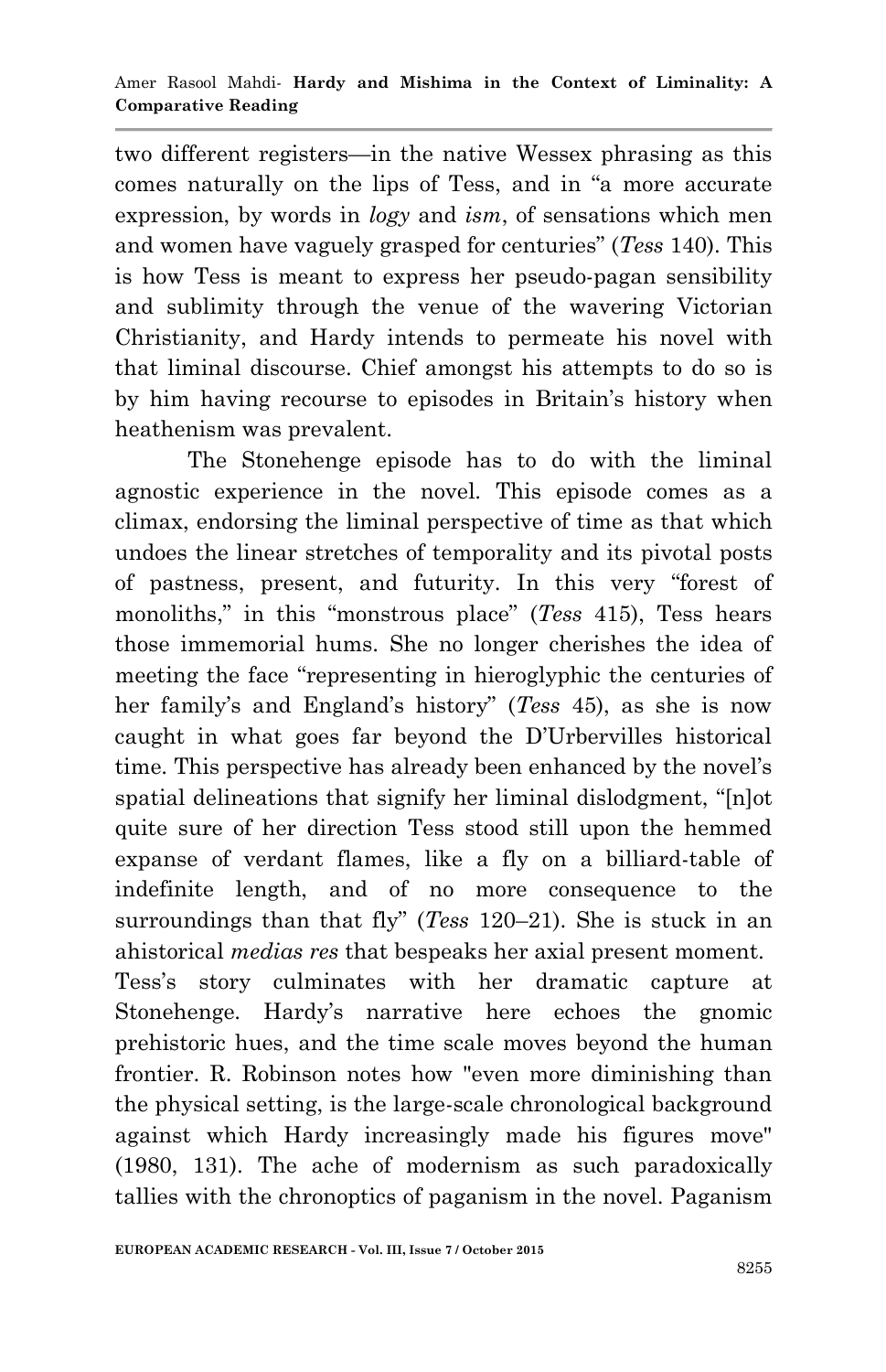two different registers—in the native Wessex phrasing as this comes naturally on the lips of Tess, and in "a more accurate expression, by words in *logy* and *ism*, of sensations which men and women have vaguely grasped for centuries‖ (*Tess* 140). This is how Tess is meant to express her pseudo-pagan sensibility and sublimity through the venue of the wavering Victorian Christianity, and Hardy intends to permeate his novel with that liminal discourse. Chief amongst his attempts to do so is by him having recourse to episodes in Britain's history when heathenism was prevalent.

The Stonehenge episode has to do with the liminal agnostic experience in the novel. This episode comes as a climax, endorsing the liminal perspective of time as that which undoes the linear stretches of temporality and its pivotal posts of pastness, present, and futurity. In this very "forest of monoliths," in this "monstrous place" (*Tess* 415), Tess hears those immemorial hums. She no longer cherishes the idea of meeting the face "representing in hieroglyphic the centuries of her family's and England's history" (*Tess* 45), as she is now caught in what goes far beyond the D'Urbervilles historical time. This perspective has already been enhanced by the novel's spatial delineations that signify her liminal dislodgment, "[n]ot quite sure of her direction Tess stood still upon the hemmed expanse of verdant flames, like a fly on a billiard-table of indefinite length, and of no more consequence to the surroundings than that fly" (*Tess* 120–21). She is stuck in an ahistorical *medias res* that bespeaks her axial present moment. Tess's story culminates with her dramatic capture at Stonehenge. Hardy's narrative here echoes the gnomic prehistoric hues, and the time scale moves beyond the human frontier. R. Robinson notes how "even more diminishing than the physical setting, is the large-scale chronological background against which Hardy increasingly made his figures move" (1980, 131). The ache of modernism as such paradoxically tallies with the chronoptics of paganism in the novel. Paganism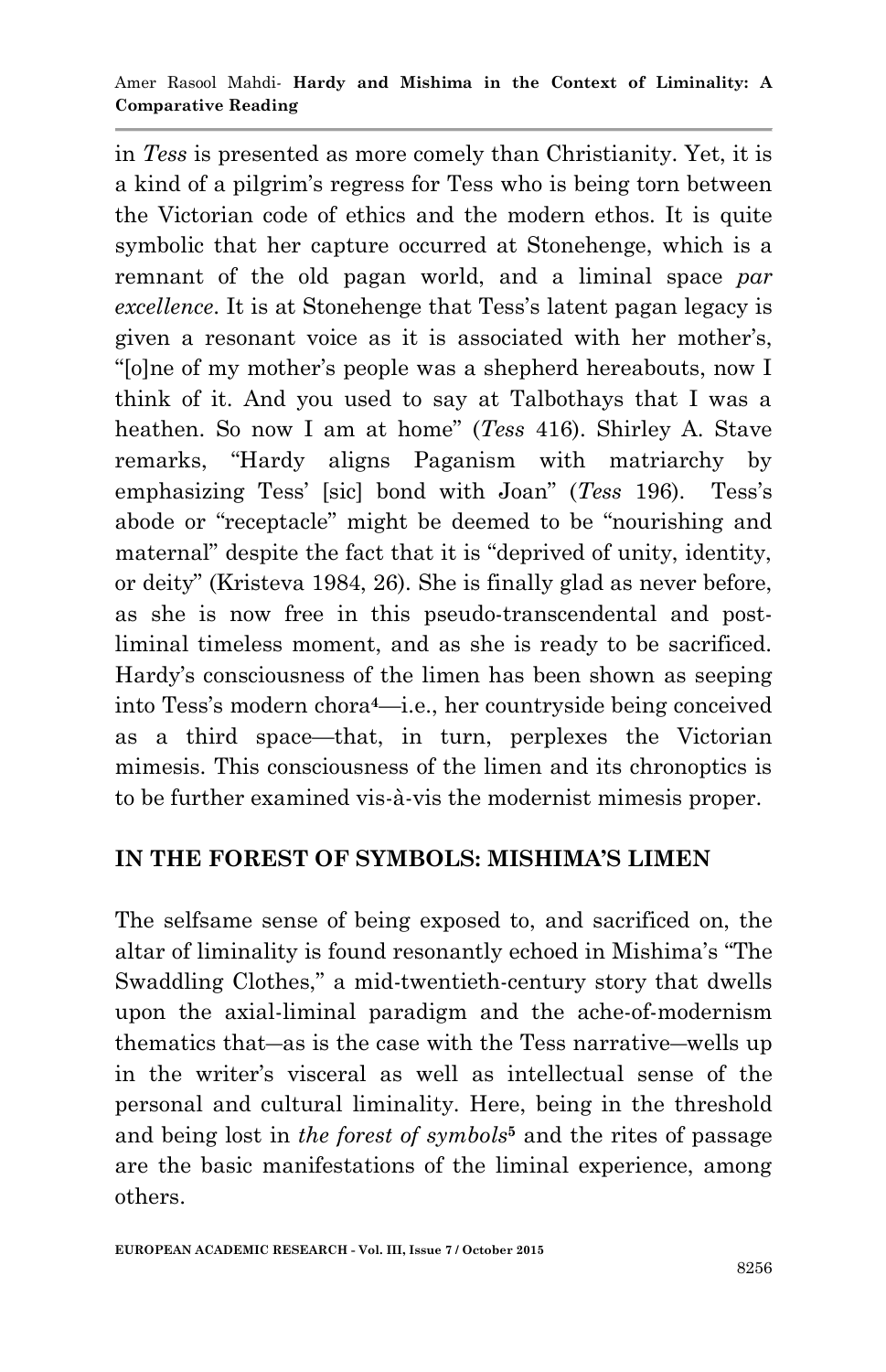in *Tess* is presented as more comely than Christianity. Yet, it is a kind of a pilgrim's regress for Tess who is being torn between the Victorian code of ethics and the modern ethos. It is quite symbolic that her capture occurred at Stonehenge, which is a remnant of the old pagan world, and a liminal space *par excellence*. It is at Stonehenge that Tess's latent pagan legacy is given a resonant voice as it is associated with her mother's, ―[o]ne of my mother's people was a shepherd hereabouts, now I think of it. And you used to say at Talbothays that I was a heathen. So now I am at home" (*Tess* 416). Shirley A. Stave remarks, "Hardy aligns Paganism with matriarchy by emphasizing Tess' [sic] bond with Joan" (*Tess* 196). Tess's abode or "receptacle" might be deemed to be "nourishing and maternal" despite the fact that it is "deprived of unity, identity, or deity" (Kristeva 1984, 26). She is finally glad as never before, as she is now free in this pseudo-transcendental and postliminal timeless moment, and as she is ready to be sacrificed. Hardy's consciousness of the limen has been shown as seeping into Tess's modern chora**4**—i.e., her countryside being conceived as a third space—that, in turn, perplexes the Victorian mimesis. This consciousness of the limen and its chronoptics is to be further examined vis-à-vis the modernist mimesis proper.

## **IN THE FOREST OF SYMBOLS: MISHIMA'S LIMEN**

The selfsame sense of being exposed to, and sacrificed on, the altar of liminality is found resonantly echoed in Mishima's "The Swaddling Clothes," a mid-twentieth-century story that dwells upon the axial-liminal paradigm and the ache-of-modernism thematics that―as is the case with the Tess narrative―wells up in the writer's visceral as well as intellectual sense of the personal and cultural liminality. Here, being in the threshold and being lost in *the forest of symbols***<sup>5</sup>** and the rites of passage are the basic manifestations of the liminal experience, among others.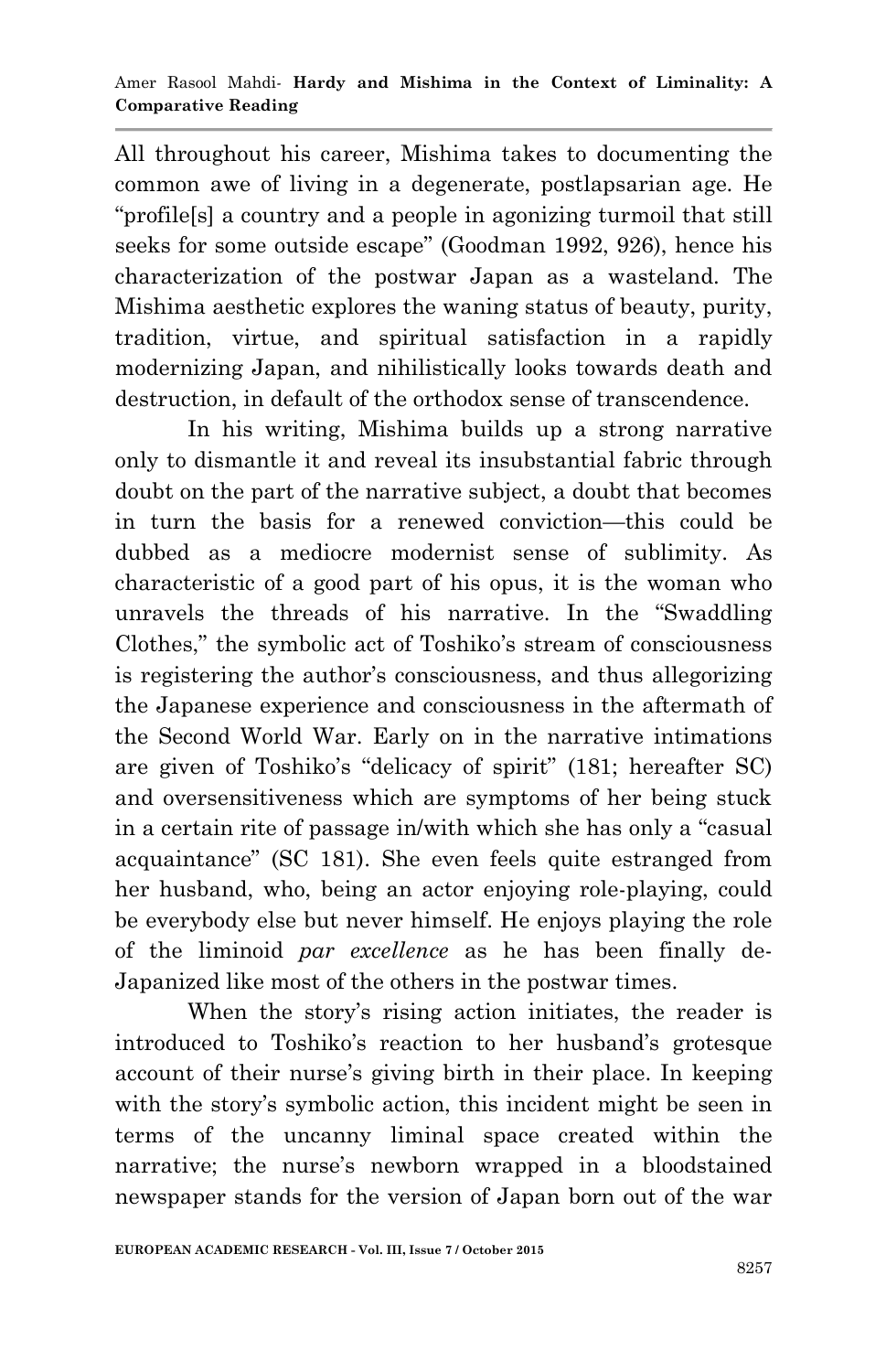All throughout his career, Mishima takes to documenting the common awe of living in a degenerate, postlapsarian age. He "profile<sup>[s]</sup> a country and a people in agonizing turmoil that still seeks for some outside escape" (Goodman 1992, 926), hence his characterization of the postwar Japan as a wasteland. The Mishima aesthetic explores the waning status of beauty, purity, tradition, virtue, and spiritual satisfaction in a rapidly modernizing Japan, and nihilistically looks towards death and destruction, in default of the orthodox sense of transcendence.

In his writing, Mishima builds up a strong narrative only to dismantle it and reveal its insubstantial fabric through doubt on the part of the narrative subject, a doubt that becomes in turn the basis for a renewed conviction—this could be dubbed as a mediocre modernist sense of sublimity. As characteristic of a good part of his opus, it is the woman who unravels the threads of his narrative. In the "Swaddling" Clothes," the symbolic act of Toshiko's stream of consciousness is registering the author's consciousness, and thus allegorizing the Japanese experience and consciousness in the aftermath of the Second World War. Early on in the narrative intimations are given of Toshiko's "delicacy of spirit" (181; hereafter SC) and oversensitiveness which are symptoms of her being stuck in a certain rite of passage in/with which she has only a "casual" acquaintance‖ (SC 181). She even feels quite estranged from her husband, who, being an actor enjoying role-playing, could be everybody else but never himself. He enjoys playing the role of the liminoid *par excellence* as he has been finally de-Japanized like most of the others in the postwar times.

When the story's rising action initiates, the reader is introduced to Toshiko's reaction to her husband's grotesque account of their nurse's giving birth in their place. In keeping with the story's symbolic action, this incident might be seen in terms of the uncanny liminal space created within the narrative; the nurse's newborn wrapped in a bloodstained newspaper stands for the version of Japan born out of the war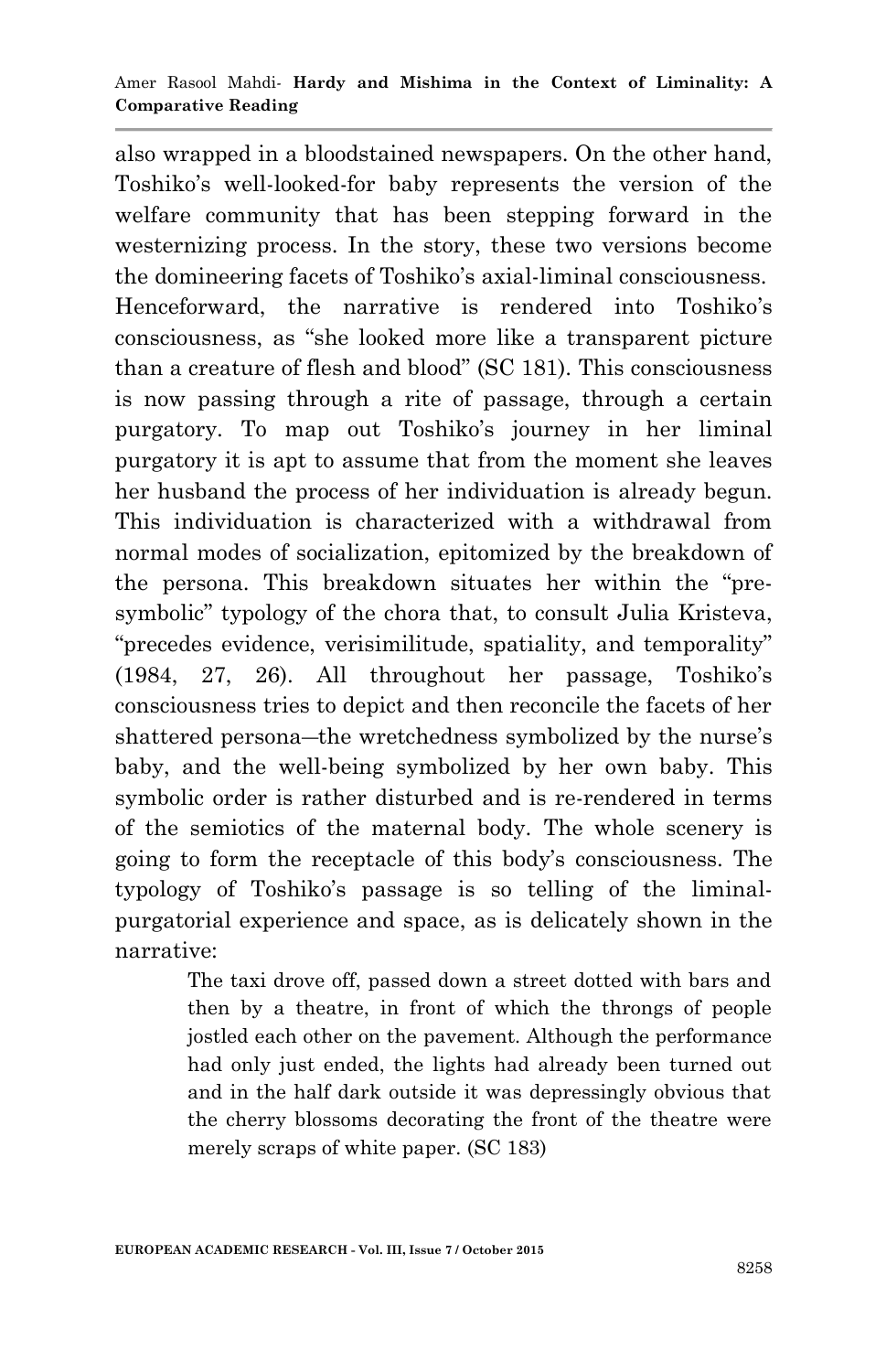also wrapped in a bloodstained newspapers. On the other hand, Toshiko's well-looked-for baby represents the version of the welfare community that has been stepping forward in the westernizing process. In the story, these two versions become the domineering facets of Toshiko's axial-liminal consciousness. Henceforward, the narrative is rendered into Toshiko's consciousness, as "she looked more like a transparent picture than a creature of flesh and blood" (SC 181). This consciousness is now passing through a rite of passage, through a certain purgatory. To map out Toshiko's journey in her liminal purgatory it is apt to assume that from the moment she leaves her husband the process of her individuation is already begun. This individuation is characterized with a withdrawal from normal modes of socialization, epitomized by the breakdown of the persona. This breakdown situates her within the "presymbolic" typology of the chora that, to consult Julia Kristeva, "precedes evidence, verisimilitude, spatiality, and temporality" (1984, 27, 26). All throughout her passage, Toshiko's consciousness tries to depict and then reconcile the facets of her shattered persona―the wretchedness symbolized by the nurse's baby, and the well-being symbolized by her own baby. This symbolic order is rather disturbed and is re-rendered in terms of the semiotics of the maternal body. The whole scenery is going to form the receptacle of this body's consciousness. The typology of Toshiko's passage is so telling of the liminalpurgatorial experience and space, as is delicately shown in the narrative:

> The taxi drove off, passed down a street dotted with bars and then by a theatre, in front of which the throngs of people jostled each other on the pavement. Although the performance had only just ended, the lights had already been turned out and in the half dark outside it was depressingly obvious that the cherry blossoms decorating the front of the theatre were merely scraps of white paper. (SC 183)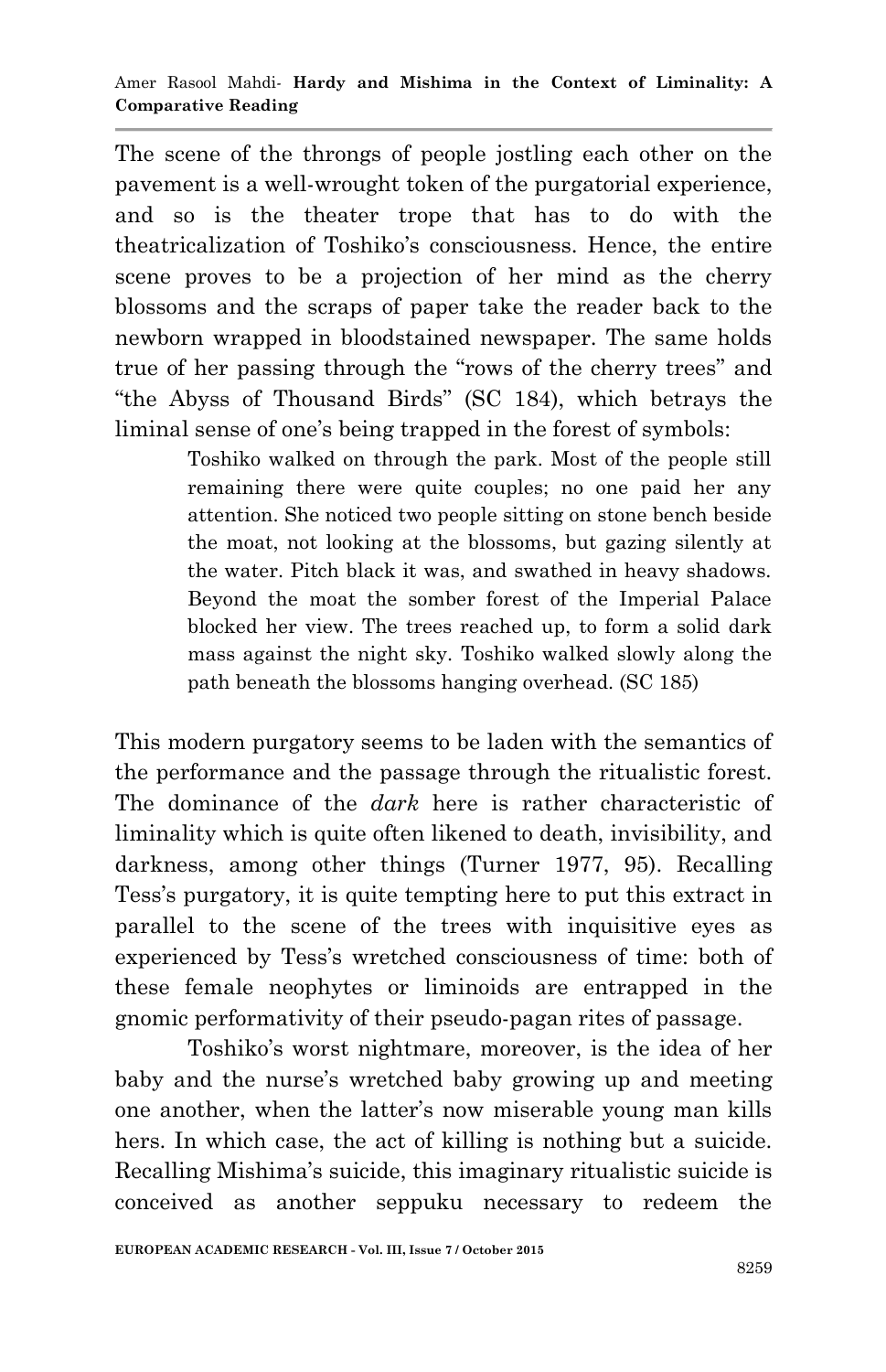The scene of the throngs of people jostling each other on the pavement is a well-wrought token of the purgatorial experience, and so is the theater trope that has to do with the theatricalization of Toshiko's consciousness. Hence, the entire scene proves to be a projection of her mind as the cherry blossoms and the scraps of paper take the reader back to the newborn wrapped in bloodstained newspaper. The same holds true of her passing through the "rows of the cherry trees" and ―the Abyss of Thousand Birds‖ (SC 184), which betrays the liminal sense of one's being trapped in the forest of symbols:

> Toshiko walked on through the park. Most of the people still remaining there were quite couples; no one paid her any attention. She noticed two people sitting on stone bench beside the moat, not looking at the blossoms, but gazing silently at the water. Pitch black it was, and swathed in heavy shadows. Beyond the moat the somber forest of the Imperial Palace blocked her view. The trees reached up, to form a solid dark mass against the night sky. Toshiko walked slowly along the path beneath the blossoms hanging overhead. (SC 185)

This modern purgatory seems to be laden with the semantics of the performance and the passage through the ritualistic forest. The dominance of the *dark* here is rather characteristic of liminality which is quite often likened to death, invisibility, and darkness, among other things (Turner 1977, 95). Recalling Tess's purgatory, it is quite tempting here to put this extract in parallel to the scene of the trees with inquisitive eyes as experienced by Tess's wretched consciousness of time: both of these female neophytes or liminoids are entrapped in the gnomic performativity of their pseudo-pagan rites of passage.

Toshiko's worst nightmare, moreover, is the idea of her baby and the nurse's wretched baby growing up and meeting one another, when the latter's now miserable young man kills hers. In which case, the act of killing is nothing but a suicide. Recalling Mishima's suicide, this imaginary ritualistic suicide is conceived as another seppuku necessary to redeem the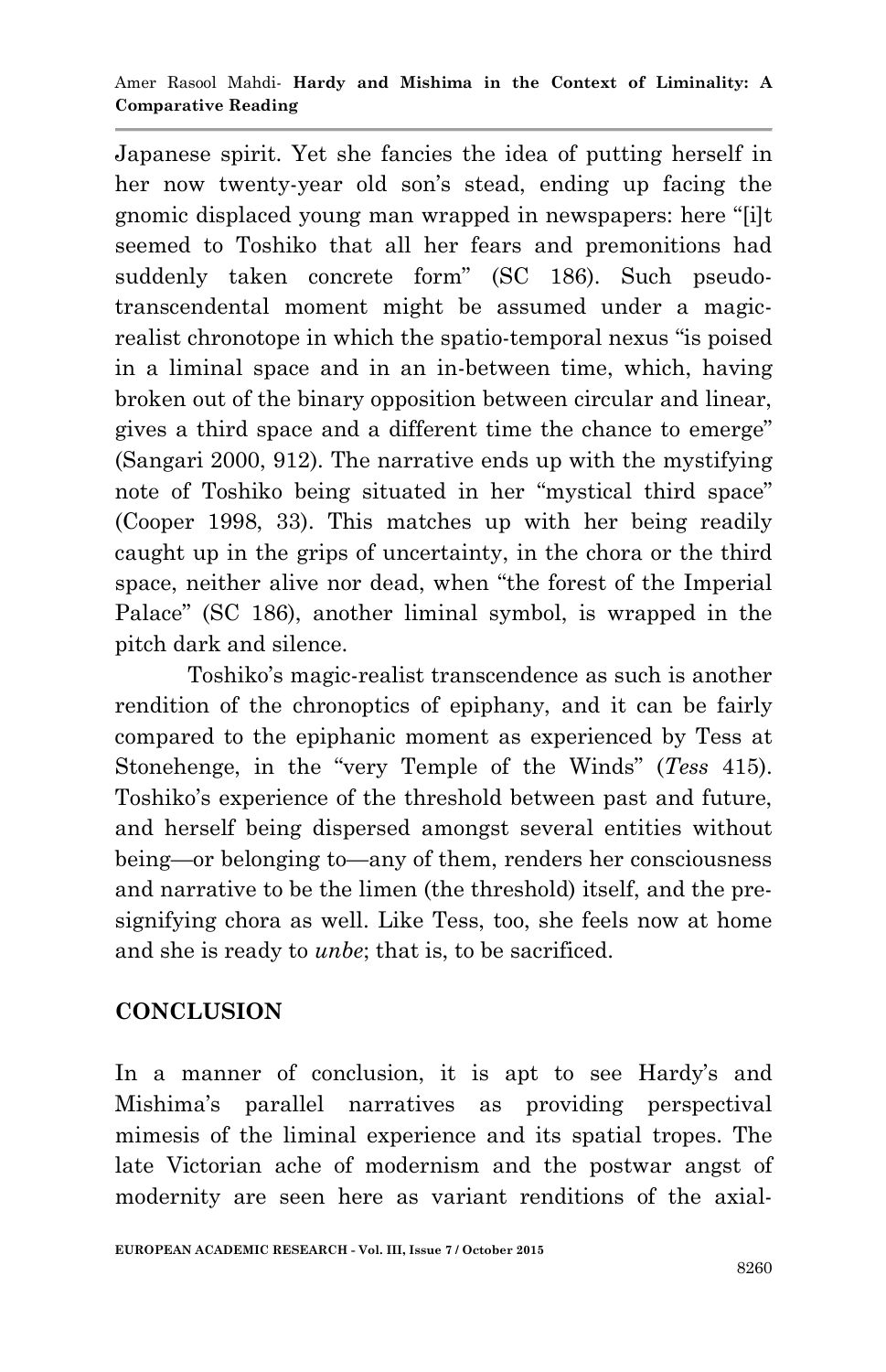Japanese spirit. Yet she fancies the idea of putting herself in her now twenty-year old son's stead, ending up facing the gnomic displaced young man wrapped in newspapers: here "[i]t seemed to Toshiko that all her fears and premonitions had suddenly taken concrete form" (SC 186). Such pseudotranscendental moment might be assumed under a magicrealist chronotope in which the spatio-temporal nexus "is poised in a liminal space and in an in-between time, which, having broken out of the binary opposition between circular and linear, gives a third space and a different time the chance to emerge" (Sangari 2000, 912). The narrative ends up with the mystifying note of Toshiko being situated in her "mystical third space" (Cooper 1998, 33). This matches up with her being readily caught up in the grips of uncertainty, in the chora or the third space, neither alive nor dead, when "the forest of the Imperial Palace" (SC 186), another liminal symbol, is wrapped in the pitch dark and silence.

Toshiko's magic-realist transcendence as such is another rendition of the chronoptics of epiphany, and it can be fairly compared to the epiphanic moment as experienced by Tess at Stonehenge, in the "very Temple of the Winds" (*Tess* 415). Toshiko's experience of the threshold between past and future, and herself being dispersed amongst several entities without being—or belonging to—any of them, renders her consciousness and narrative to be the limen (the threshold) itself, and the presignifying chora as well. Like Tess, too, she feels now at home and she is ready to *unbe*; that is, to be sacrificed.

# **CONCLUSION**

In a manner of conclusion, it is apt to see Hardy's and Mishima's parallel narratives as providing perspectival mimesis of the liminal experience and its spatial tropes. The late Victorian ache of modernism and the postwar angst of modernity are seen here as variant renditions of the axial-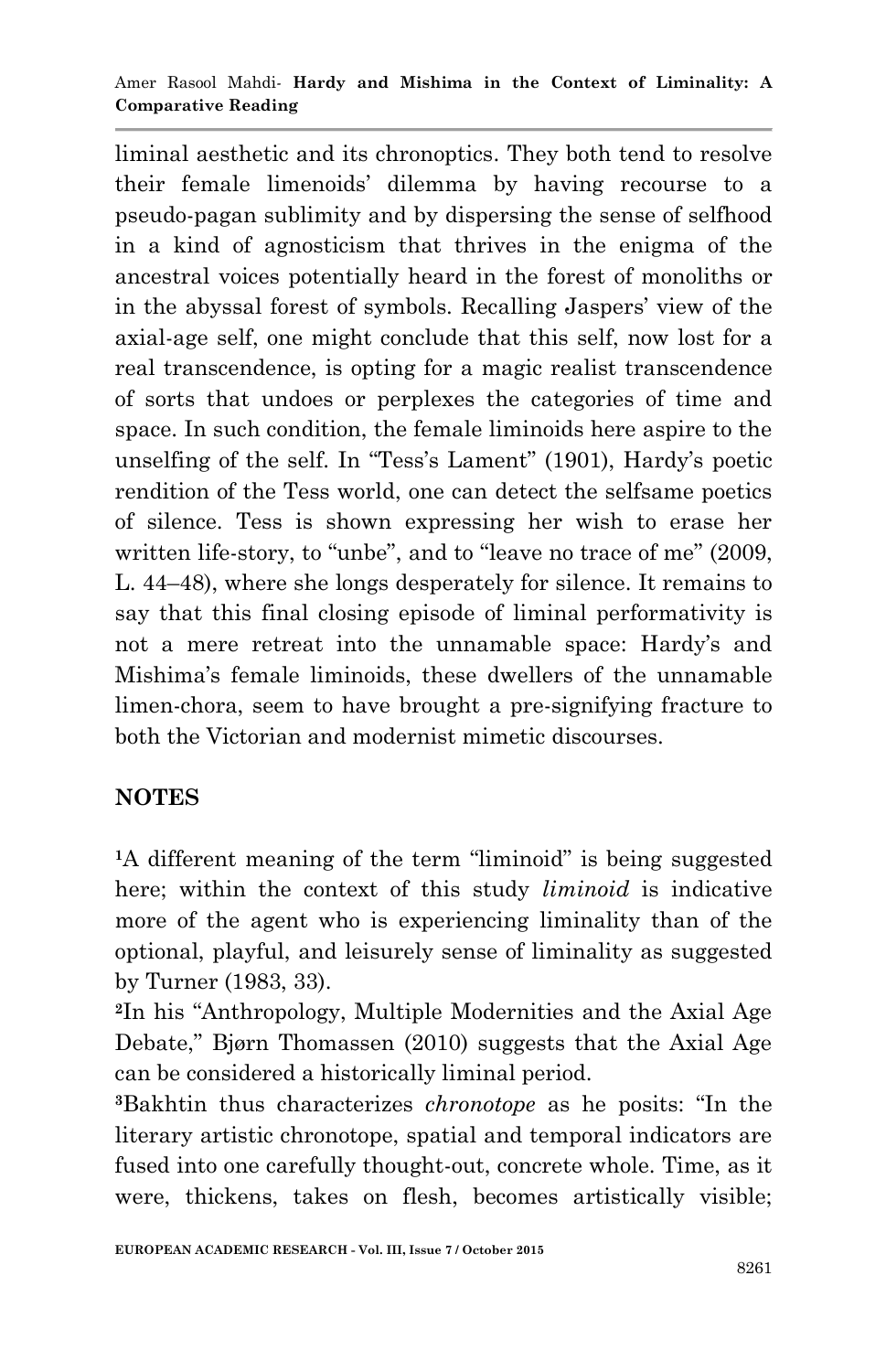#### Amer Rasool Mahdi*-* **Hardy and Mishima in the Context of Liminality: A Comparative Reading**

liminal aesthetic and its chronoptics. They both tend to resolve their female limenoids' dilemma by having recourse to a pseudo-pagan sublimity and by dispersing the sense of selfhood in a kind of agnosticism that thrives in the enigma of the ancestral voices potentially heard in the forest of monoliths or in the abyssal forest of symbols. Recalling Jaspers' view of the axial-age self, one might conclude that this self, now lost for a real transcendence, is opting for a magic realist transcendence of sorts that undoes or perplexes the categories of time and space. In such condition, the female liminoids here aspire to the unselfing of the self. In "Tess's Lament" (1901), Hardy's poetic rendition of the Tess world, one can detect the selfsame poetics of silence. Tess is shown expressing her wish to erase her written life-story, to "unbe", and to "leave no trace of me" (2009, L. 44–48), where she longs desperately for silence. It remains to say that this final closing episode of liminal performativity is not a mere retreat into the unnamable space: Hardy's and Mishima's female liminoids, these dwellers of the unnamable limen-chora, seem to have brought a pre-signifying fracture to both the Victorian and modernist mimetic discourses.

## **NOTES**

<sup>1</sup>A different meaning of the term "liminoid" is being suggested here; within the context of this study *liminoid* is indicative more of the agent who is experiencing liminality than of the optional, playful, and leisurely sense of liminality as suggested by Turner (1983, 33).

<sup>2</sup>In his "Anthropology, Multiple Modernities and the Axial Age Debate," Bjørn Thomassen (2010) suggests that the Axial Age can be considered a historically liminal period.

**<sup>3</sup>**Bakhtin thus characterizes *chronotope* as he posits: ―In the literary artistic chronotope, spatial and temporal indicators are fused into one carefully thought-out, concrete whole. Time, as it were, thickens, takes on flesh, becomes artistically visible;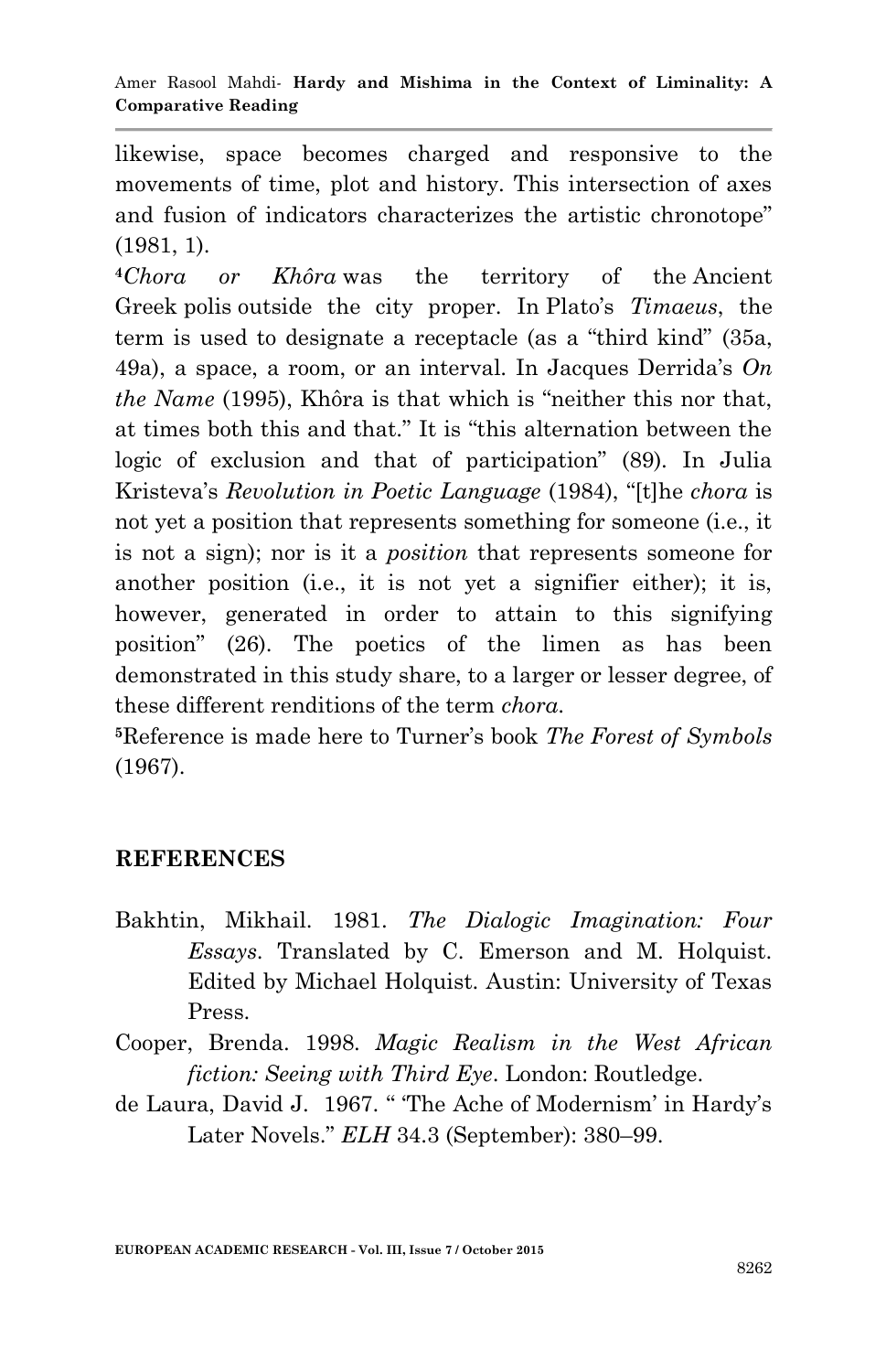likewise, space becomes charged and responsive to the movements of time, plot and history. This intersection of axes and fusion of indicators characterizes the artistic chronotope" (1981, 1).

**<sup>4</sup>***Chora or Khôra* was the territory of the Ancient Greek polis outside the city proper. In Plato's *Timaeus*, the term is used to designate a receptacle (as a "third kind" (35a, 49a), a space, a room, or an interval. In Jacques Derrida's *On the Name* (1995), Khôra is that which is "neither this nor that, at times both this and that." It is "this alternation between the logic of exclusion and that of participation" (89). In Julia Kristeva's *Revolution in Poetic Language* (1984), ―[t]he *chora* is not yet a position that represents something for someone (i.e., it is not a sign); nor is it a *position* that represents someone for another position (i.e., it is not yet a signifier either); it is, however, generated in order to attain to this signifying position‖ (26). The poetics of the limen as has been demonstrated in this study share, to a larger or lesser degree, of these different renditions of the term *chora*.

**<sup>5</sup>**Reference is made here to Turner's book *The Forest of Symbols* (1967).

# **REFERENCES**

- Bakhtin, Mikhail. 1981. *The Dialogic Imagination: Four Essays*. Translated by C. Emerson and M. Holquist. Edited by Michael Holquist. Austin: University of Texas Press.
- Cooper, Brenda. 1998. *Magic Realism in the West African fiction: Seeing with Third Eye*. London: Routledge.
- de Laura, David J. 1967. "The Ache of Modernism' in Hardy's Later Novels." *ELH* 34.3 (September): 380-99.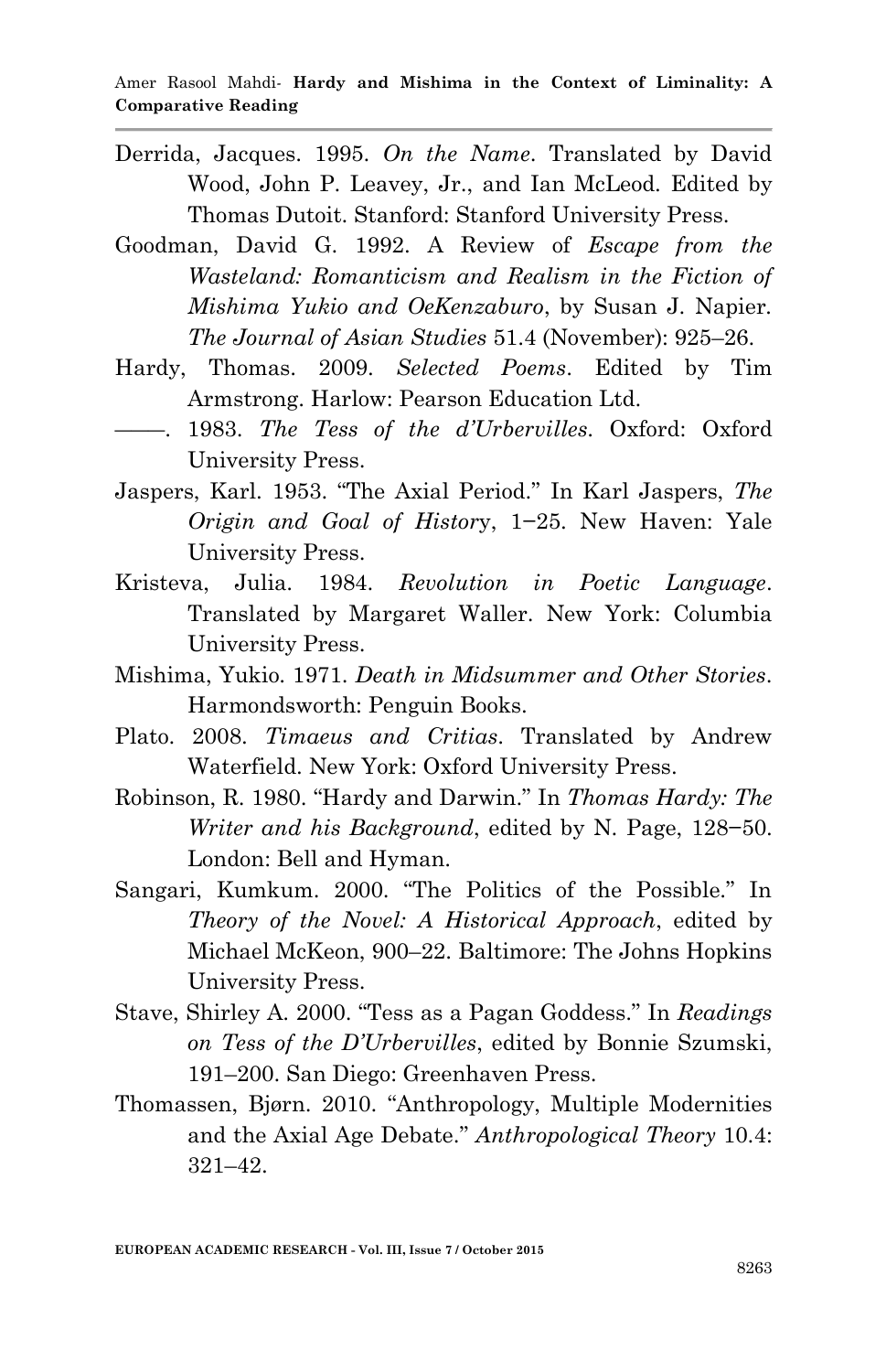- Derrida, Jacques. 1995. *On the Name*. Translated by David Wood, John P. Leavey, Jr., and Ian McLeod. Edited by Thomas Dutoit. Stanford: Stanford University Press.
- Goodman, David G. 1992. A Review of *Escape from the Wasteland: Romanticism and Realism in the Fiction of Mishima Yukio and OeKenzaburo*, by Susan J. Napier*. The Journal of Asian Studies* 51.4 (November): 925–26.
- Hardy, Thomas. 2009. *Selected Poems*. Edited by Tim Armstrong. Harlow: Pearson Education Ltd.
- ―――. 1983. *The Tess of the d'Urbervilles*. Oxford: Oxford University Press.
- Jaspers, Karl. 1953. "The Axial Period." In Karl Jaspers, *The Origin and Goal of Histor*y, 1−25. New Haven: Yale University Press.
- Kristeva, Julia. 1984. *Revolution in Poetic Language*. Translated by Margaret Waller. New York: Columbia University Press.
- Mishima, Yukio. 1971. *Death in Midsummer and Other Stories*. Harmondsworth: Penguin Books.
- Plato. 2008. *Timaeus and Critias*. Translated by Andrew Waterfield. New York: Oxford University Press.
- Robinson, R. 1980. "Hardy and Darwin." In *Thomas Hardy: The Writer and his Background*, edited by N. Page, 128−50. London: Bell and Hyman.
- Sangari, Kumkum. 2000. "The Politics of the Possible." In *Theory of the Novel: A Historical Approach*, edited by Michael McKeon, 900–22. Baltimore: The Johns Hopkins University Press.
- Stave, Shirley A. 2000. "Tess as a Pagan Goddess." In *Readings on Tess of the D'Urbervilles*, edited by Bonnie Szumski, 191–200. San Diego: Greenhaven Press.
- Thomassen, Bjørn. 2010. "Anthropology, Multiple Modernities and the Axial Age Debate.‖ *Anthropological Theory* 10.4: 321–42.